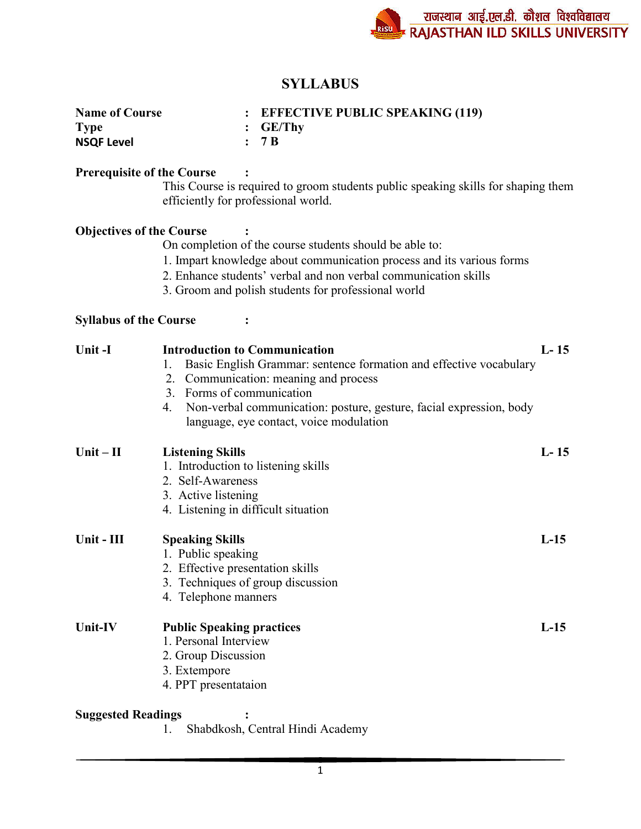# **SYLLABUS**

| <b>Name of Course</b> | $:$ EFFECTIVE PUBLIC SPEAKING (119) |  |
|-----------------------|-------------------------------------|--|
| <b>Type</b>           | $\div$ GE/Thy                       |  |
| <b>NSQF Level</b>     | : 7B                                |  |

## Prerequisite of the Course :

This Course is required to groom students public speaking skills for shaping them efficiently for professional world.

## Objectives of the Course :

On completion of the course students should be able to:

- 1. Impart knowledge about communication process and its various forms
- 2. Enhance students' verbal and non verbal communication skills
- 3. Groom and polish students for professional world

# Syllabus of the Course :

| Unit-I       | <b>Introduction to Communication</b><br>Basic English Grammar: sentence formation and effective vocabulary<br>1.<br>2. Communication: meaning and process<br>3. Forms of communication<br>Non-verbal communication: posture, gesture, facial expression, body<br>4.<br>language, eye contact, voice modulation | $L-15$ |
|--------------|----------------------------------------------------------------------------------------------------------------------------------------------------------------------------------------------------------------------------------------------------------------------------------------------------------------|--------|
| $Unit - II$  | <b>Listening Skills</b><br>1. Introduction to listening skills<br>2. Self-Awareness<br>3. Active listening<br>4. Listening in difficult situation                                                                                                                                                              | $L-15$ |
| Unit - $III$ | <b>Speaking Skills</b><br>1. Public speaking<br>2. Effective presentation skills<br>3. Techniques of group discussion<br>4. Telephone manners                                                                                                                                                                  | $L-15$ |
| Unit-IV      | <b>Public Speaking practices</b><br>1. Personal Interview<br>2. Group Discussion<br>3. Extempore<br>4. PPT presentataion                                                                                                                                                                                       | $L-15$ |

### Suggested Readings :

1. Shabdkosh, Central Hindi Academy